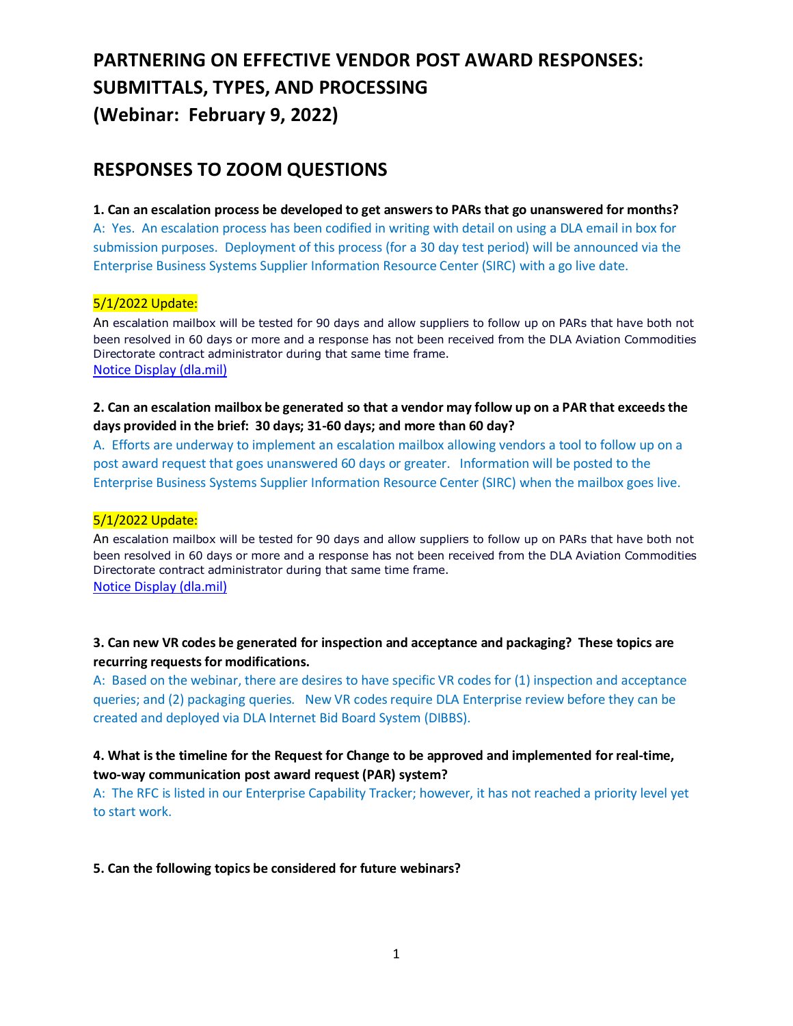# **PARTNERING ON EFFECTIVE VENDOR POST AWARD RESPONSES: SUBMITTALS, TYPES, AND PROCESSING (Webinar: February 9, 2022)**

## **RESPONSES TO ZOOM QUESTIONS**

**1. Can an escalation process be developed to get answers to PARs that go unanswered for months?** A: Yes. An escalation process has been codified in writing with detail on using a DLA email in box for submission purposes. Deployment of this process (for a 30 day test period) will be announced via the Enterprise Business Systems Supplier Information Resource Center (SIRC) with a go live date.

#### 5/1/2022 Update:

An escalation mailbox will be tested for 90 days and allow suppliers to follow up on PARs that have both not been resolved in 60 days or more and a response has not been received from the DLA Aviation Commodities Directorate contract administrator during that same time frame. [Notice Display \(dla.mil\)](https://www.dibbs.bsm.dla.mil/notices/msgdspl.aspx?msgid=1096)

#### **2. Can an escalation mailbox be generated so that a vendor may follow up on a PAR that exceeds the days provided in the brief: 30 days; 31-60 days; and more than 60 day?**

A. Efforts are underway to implement an escalation mailbox allowing vendors a tool to follow up on a post award request that goes unanswered 60 days or greater. Information will be posted to the Enterprise Business Systems Supplier Information Resource Center (SIRC) when the mailbox goes live.

#### 5/1/2022 Update:

An escalation mailbox will be tested for 90 days and allow suppliers to follow up on PARs that have both not been resolved in 60 days or more and a response has not been received from the DLA Aviation Commodities Directorate contract administrator during that same time frame. [Notice Display \(dla.mil\)](https://www.dibbs.bsm.dla.mil/notices/msgdspl.aspx?msgid=1096)

#### **3. Can new VR codes be generated for inspection and acceptance and packaging? These topics are recurring requests for modifications.**

A: Based on the webinar, there are desires to have specific VR codes for (1) inspection and acceptance queries; and (2) packaging queries. New VR codes require DLA Enterprise review before they can be created and deployed via DLA Internet Bid Board System (DIBBS).

#### **4. What is the timeline for the Request for Change to be approved and implemented for real-time, two-way communication post award request (PAR) system?**

A: The RFC is listed in our Enterprise Capability Tracker; however, it has not reached a priority level yet to start work.

**5. Can the following topics be considered for future webinars?**